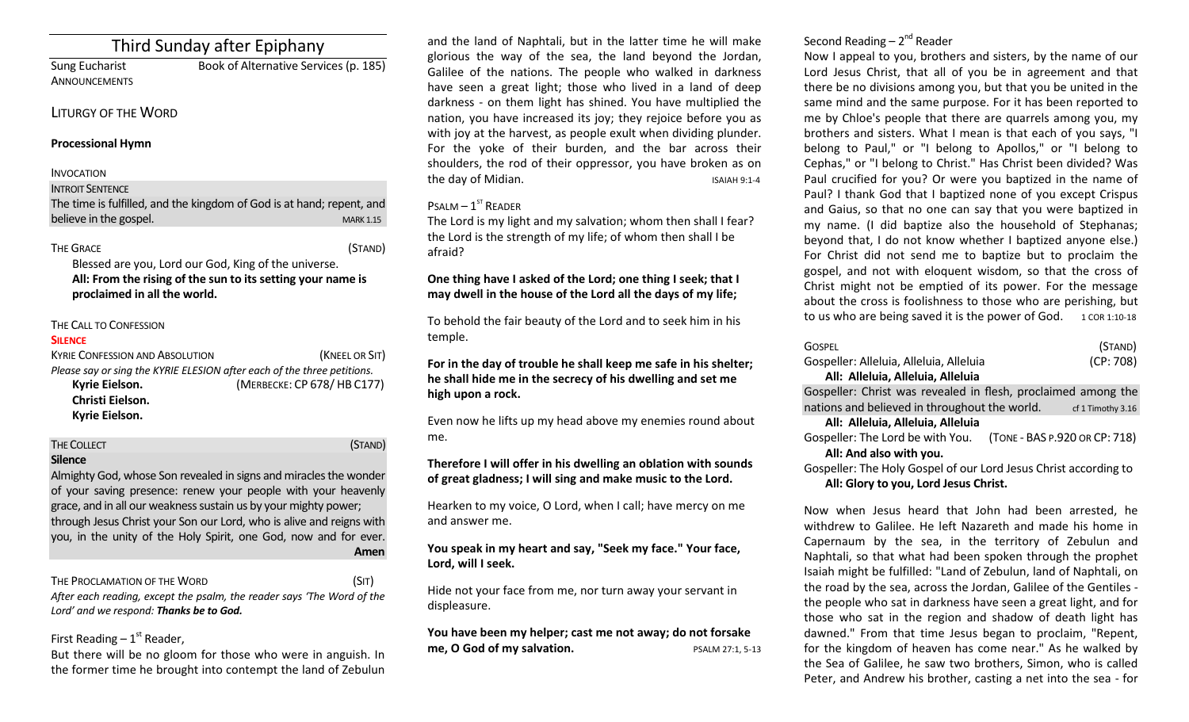# Third Sunday after Epiphany

ANNOUNCEMENTS

Sung Eucharist Book of Alternative Services (p. 185)

# LITURGY OF THE WORD

## **Processional Hymn**

## INVOCATION

**INTROIT SENTENCE** 

The time is fulfilled, and the kingdom of God is at hand; repent, and believe in the gospel. The state of the state of the state of the state of the state of the state of the state of the state of the state of the state of the state of the state of the state of the state of the state of the

## THE GRACE (STAND)

Blessed are you, Lord our God, King of the universe. **All: From the rising of the sun to its setting your name is proclaimed in all the world.**

# THE CALL TO CONFESSION

## **SILENCE**

KYRIE CONFESSION AND ABSOLUTION *(KNEEL OR SIT) Please say or sing the KYRIE ELESION after each of the three petitions.*  **Kyrie Eielson.** (MERBECKE: CP 678/ HB C177) **Christi Eielson. Kyrie Eielson.**

| <b>THE COLLECT</b>                                                | (STAND) |
|-------------------------------------------------------------------|---------|
| <b>Silence</b>                                                    |         |
| Almighty God, whose Son revealed in signs and miracles the wonder |         |

of your saving presence: renew your people with your heavenly grace, and in all our weakness sustain us by your mighty power; through Jesus Christ your Son our Lord, who is alive and reigns with you, in the unity of the Holy Spirit, one God, now and for ever. **Amen**

# THE PROCLAMATION OF THE WORD (SIT)

*After each reading, except the psalm, the reader says 'The Word of the Lord' and we respond: Thanks be to God.* 

# First Reading  $-1<sup>st</sup>$  Reader,

But there will be no gloom for those who were in anguish. In the former time he brought into contempt the land of Zebulun

and the land of Naphtali, but in the latter time he will make glorious the way of the sea, the land beyond the Jordan, Galilee of the nations. The people who walked in darkness have seen a great light; those who lived in a land of deep darkness - on them light has shined. You have multiplied the nation, you have increased its joy; they rejoice before you as with joy at the harvest, as people exult when dividing plunder. For the yoke of their burden, and the bar across their shoulders, the rod of their oppressor, you have broken as on the day of Midian. The day of Midian.

# $P$ SALM  $-1$ <sup>ST</sup> READER

The Lord is my light and my salvation; whom then shall I fear? the Lord is the strength of my life; of whom then shall I be afraid?

# **One thing have I asked of the Lord; one thing I seek; that I may dwell in the house of the Lord all the days of my life;**

To behold the fair beauty of the Lord and to seek him in his temple.

**For in the day of trouble he shall keep me safe in his shelter; he shall hide me in the secrecy of his dwelling and set me high upon a rock.** 

Even now he lifts up my head above my enemies round about me.

## **Therefore I will offer in his dwelling an oblation with sounds of great gladness; I will sing and make music to the Lord.**

Hearken to my voice, O Lord, when I call; have mercy on me and answer me.

# **You speak in my heart and say, "Seek my face." Your face, Lord, will I seek.**

Hide not your face from me, nor turn away your servant in displeasure.

**You have been my helper; cast me not away; do not forsake me, O God of my salvation.** PSALM 27:1, 5-13

# Second Reading – 2<sup>nd</sup> Reader

Now I appeal to you, brothers and sisters, by the name of our Lord Jesus Christ, that all of you be in agreement and that there be no divisions among you, but that you be united in the same mind and the same purpose. For it has been reported to me by Chloe's people that there are quarrels among you, my brothers and sisters. What I mean is that each of you says, "I belong to Paul," or "I belong to Apollos," or "I belong to Cephas," or "I belong to Christ." Has Christ been divided? Was Paul crucified for you? Or were you baptized in the name of Paul? I thank God that I baptized none of you except Crispus and Gaius, so that no one can say that you were baptized in my name. (I did baptize also the household of Stephanas; beyond that, I do not know whether I baptized anyone else.) For Christ did not send me to baptize but to proclaim the gospel, and not with eloquent wisdom, so that the cross of Christ might not be emptied of its power. For the message about the cross is foolishness to those who are perishing, but to us who are being saved it is the power of God.  $1$  COR 1:10-18

| <b>GOSPEL</b>                                                    | (STAND)                       |
|------------------------------------------------------------------|-------------------------------|
| Gospeller: Alleluia, Alleluia, Alleluia                          | (CP: 708)                     |
| All: Alleluia, Alleluia, Alleluia                                |                               |
| Gospeller: Christ was revealed in flesh, proclaimed among the    |                               |
| nations and believed in throughout the world.                    | cf 1 Timothy 3.16             |
| All: Alleluia, Alleluia, Alleluia                                |                               |
| Gospeller: The Lord be with You.                                 | (TONE - BAS P.920 OR CP: 718) |
| All: And also with you.                                          |                               |
| Gospeller: The Holy Gospel of our Lord Jesus Christ according to |                               |

**All: Glory to you, Lord Jesus Christ.**

Now when Jesus heard that John had been arrested, he withdrew to Galilee. He left Nazareth and made his home in Capernaum by the sea, in the territory of Zebulun and Naphtali, so that what had been spoken through the prophet Isaiah might be fulfilled: "Land of Zebulun, land of Naphtali, on the road by the sea, across the Jordan, Galilee of the Gentiles the people who sat in darkness have seen a great light, and for those who sat in the region and shadow of death light has dawned." From that time Jesus began to proclaim, "Repent, for the kingdom of heaven has come near." As he walked by the Sea of Galilee, he saw two brothers, Simon, who is called Peter, and Andrew his brother, casting a net into the sea - for